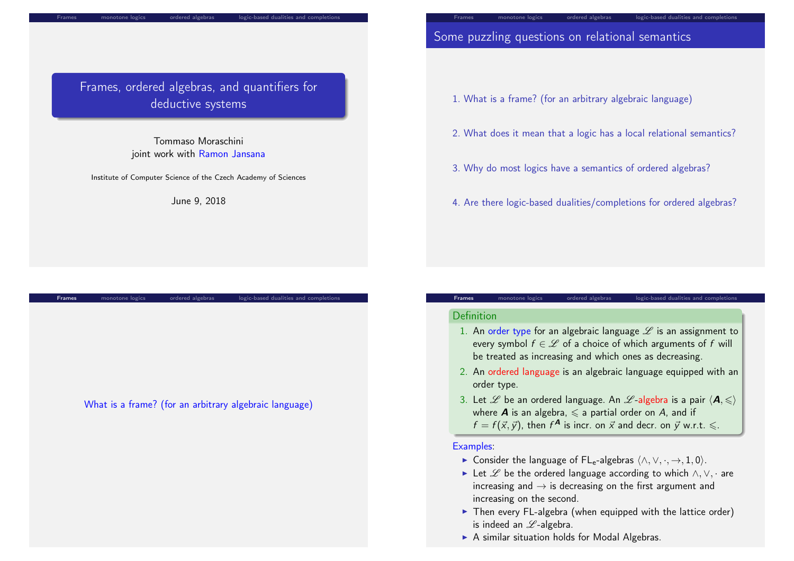## Frames, ordered algebras, and quantifiers for deductive systems

monotone logics ordered algebras logic-based dualities and completions

Tommaso Moraschini joint work with Ramon Jansana

Institute of Computer Science of the Czech Academy of Sciences

June 9, 2018

Frames monotone logics ordered algebras logic-based dualities and completions

## Some puzzling questions on relational semantics

- 1. What is a frame? (for an arbitrary algebraic language)
- 2. What does it mean that a logic has a local relational semantics?

Frames monotone logics ordered algebras logic-based dualities and completions

- 3. Why do most logics have a semantics of ordered algebras?
- 4. Are there logic-based dualities/completions for ordered algebras?

#### Definition

1. An order type for an algebraic language  $\mathscr L$  is an assignment to every symbol  $f \in \mathcal{L}$  of a choice of which arguments of f will be treated as increasing and which ones as decreasing.

Frames monotone logics ordered algebras logic-based dualities and completion

- 2. An ordered language is an algebraic language equipped with an order type.
- 3. Let  $\mathscr L$  be an ordered language. An  $\mathscr L$ -algebra is a pair  $\langle \mathbf A,{\leqslant}\rangle$ where **A** is an algebra,  $\leq$  a partial order on A, and if  $f = f(\vec{x}, \vec{y})$ , then  $f^{\mathbf{A}}$  is incr. on  $\vec{x}$  and decr. on  $\vec{y}$  w.r.t.  $\leqslant$ .

#### Examples:

- ► Consider the language of  $FL_e$ -algebras  $\langle \land, \lor, \cdot, \to, 1, 0 \rangle$ .
- ► Let  $\mathscr L$  be the ordered language according to which  $\wedge$ ,  $\vee$ ,  $\cdot$  are increasing and  $\rightarrow$  is decreasing on the first argument and increasing on the second.
- $\triangleright$  Then every FL-algebra (when equipped with the lattice order) is indeed an  $\mathscr{L}$ -algebra.
- $\triangleright$  A similar situation holds for Modal Algebras.

### What is a frame? (for an arbitrary algebraic language)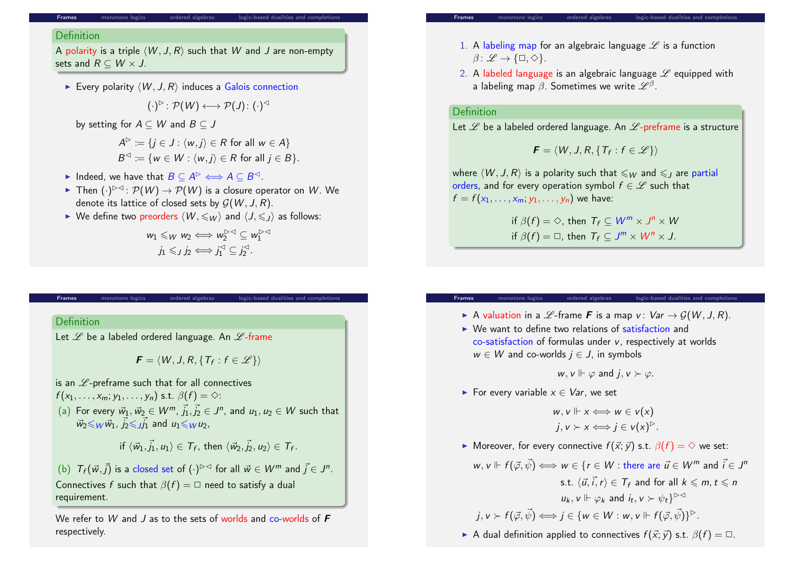### **Definition**

A polarity is a triple  $\langle W, J, R \rangle$  such that W and J are non-empty sets and  $R \subseteq W \times J$ .

**Frames** monotone logics ordered algebras logic-based dualities and completions or ordered algebras.

Every polarity  $\langle W, J, R \rangle$  induces a Galois connection

$$
(\cdot)^{\triangleright} \colon \mathcal{P}(\mathcal{W}) \longleftrightarrow \mathcal{P}(\mathcal{J}) \colon (\cdot)^{\triangleleft}
$$

by setting for  $A \subseteq W$  and  $B \subseteq J$ 

$$
A^{\triangleright} := \{ j \in J : \langle w, j \rangle \in R \text{ for all } w \in A \}
$$
  

$$
B^{\triangleleft} := \{ w \in W : \langle w, j \rangle \in R \text{ for all } j \in B \}.
$$

- ► Indeed, we have that  $B \subseteq A^{\triangleright} \Longleftrightarrow A \subseteq B^{\triangleleft}$ .
- ► Then  $(\cdot)^{\rhd\lhd}$  :  $\mathcal{P}(W)\to \mathcal{P}(W)$  is a closure operator on  $W.$  We denote its lattice of closed sets by  $G(W, J, R)$ .
- $\triangleright$  We define two preorders  $\langle W, \leqslant_W \rangle$  and  $\langle J, \leqslant_L \rangle$  as follows:

$$
w_1 \leq_W w_2 \iff w_2^{\triangleright\triangleleft} \subseteq w_1^{\triangleright\triangleleft}
$$
  

$$
j_1 \leqslant_j j_2 \iff j_1^{\triangleleft} \subseteq j_2^{\triangleleft}.
$$

# **Definition**

Let  $\mathscr L$  be a labeled ordered language. An  $\mathscr L$ -frame

 $\bm{F} = \langle W, J, R, \{T_f : f \in \mathscr{L}\} \rangle$ 

Frames monotone logics ordered algebras logic-based dualities and completions of

is an  $\mathscr L$ -preframe such that for all connectives

 $f(x_1, \ldots, x_m; y_1, \ldots, y_n)$  s.t.  $\beta(f) = \diamondsuit$ :

(a) For every  $\vec{w}_1, \vec{w}_2 \in W^m$ ,  $\vec{j}_1, \vec{j}_2 \in J^n$ , and  $u_1, u_2 \in W$  such that  $\vec{w}_2 \leqslant_W \vec{w}_1$ ,  $\vec{j}_2 \leqslant \vec{j_1}$  and  $u_1 \leqslant_W u_2$ ,

$$
\text{if } \langle \vec{w}_1, \vec{j}_1, u_1 \rangle \in \mathcal{T}_f \text{, then } \langle \vec{w}_2, \vec{j}_2, u_2 \rangle \in \mathcal{T}_f.
$$

(b)  $T_f(\vec{w}, \vec{j})$  is a closed set of  $(\cdot)^{p\vartriangleleft}$  for all  $\vec{w} \in W^m$  and  $\vec{j} \in J^n$ . Connectives f such that  $\beta(f) = \square$  need to satisfy a dual requirement.

We refer to W and J as to the sets of worlds and co-worlds of  $\boldsymbol{F}$ respectively.

- 1. A labeling map for an algebraic language  $\mathscr L$  is a function  $\beta: \mathscr{L} \to \{\Box, \Diamond\}.$
- 2. A labeled language is an algebraic language  $\mathscr L$  equipped with a labeling map  $\beta.$  Sometimes we write  $\mathscr L^\beta.$

### Definition

Let  $\mathscr L$  be a labeled ordered language. An  $\mathscr L$ -preframe is a structure

$$
\boldsymbol{F} = \langle W, J, R, \{T_f : f \in \mathscr{L}\} \rangle
$$

where  $\langle W, J, R \rangle$  is a polarity such that  $\leqslant_W$  and  $\leqslant_L$  are partial orders, and for every operation symbol  $f \in \mathscr{L}$  such that  $f = f(x_1, ..., x_m; y_1, ..., y_n)$  we have:

$$
\text{if } \beta(f) = \diamondsuit, \text{ then } T_f \subseteq W^m \times J^n \times W
$$
\n
$$
\text{if } \beta(f) = \square, \text{ then } T_f \subseteq J^m \times W^n \times J.
$$

#### Frames monotone logics ordered algebras logic-based dualities and completion

- A valuation in a  $L$ -frame **F** is a map v:  $Var \rightarrow G(W, J, R)$ .
- $\triangleright$  We want to define two relations of satisfaction and co-satisfaction of formulas under v, respectively at worlds  $w \in W$  and co-worlds  $j \in J$ , in symbols

$$
w, v \Vdash \varphi
$$
 and  $j, v \succ \varphi$ .

For every variable  $x \in Var$ , we set

$$
w, v \Vdash x \Longleftrightarrow w \in v(x)
$$
  

$$
j, v \succ x \Longleftrightarrow j \in v(x)^{D}.
$$

 $\triangleright$  Moreover, for every connective  $f(\vec{x}; \vec{v})$  s.t.  $\beta(f) = \diamondsuit$  we set:

$$
w, v \Vdash f(\vec{\varphi}, \vec{\psi}) \Longleftrightarrow w \in \{r \in W : \text{there are } \vec{u} \in W^m \text{ and } \vec{i} \in J^n
$$
  
s.t.  $\langle \vec{u}, \vec{i}, r \rangle \in T_f$  and for all  $k \le m, t \le n$   
 $u_k, v \Vdash \varphi_k$  and  $i_t, v \succ \psi_t\}^{\triangleright\vartriangleleft}$   
 $j, v \succ f(\vec{\varphi}, \vec{\psi}) \Longleftrightarrow j \in \{w \in W : w, v \Vdash f(\vec{\varphi}, \vec{\psi})\}^{\triangleright}.$ 

A dual definition applied to connectives  $f(\vec{x}; \vec{y})$  s.t.  $\beta(f) = \Box$ .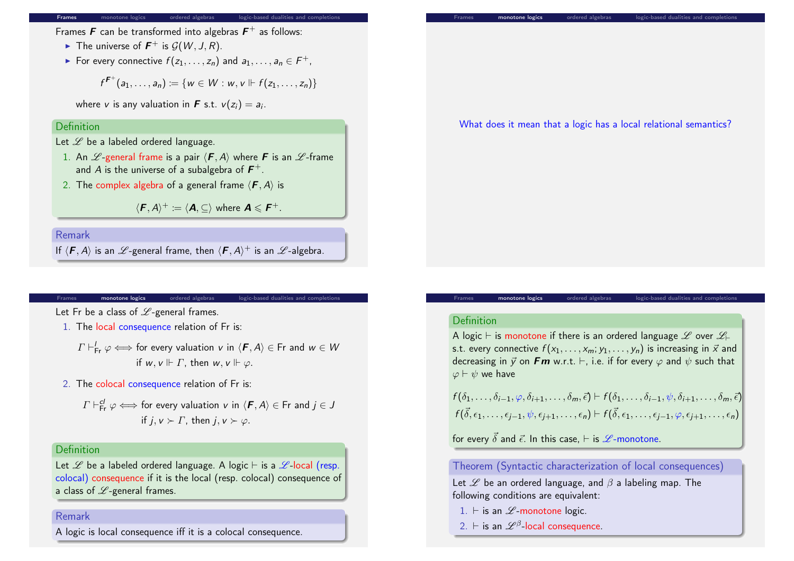Frames  $\bm{F}$  can be transformed into algebras  $\bm{F}^+$  as follows:

- $\blacktriangleright$  The universe of  $\mathbf{F}^+$  is  $\mathcal{G}(W, J, R)$ .
- ► For every connective  $f(z_1,\ldots,z_n)$  and  $a_1,\ldots,a_n\in F^+$ ,

$$
f^{F^+}(a_1,\ldots,a_n):=\{w\in W:w,v\Vdash f(z_1,\ldots,z_n)\}
$$

where  $v$  is any valuation in  $\boldsymbol{F}$  s.t.  $v(z_i)=a_i$ .

#### **Definition**

Let  $\mathscr L$  be a labeled ordered language.

- 1. An  $\mathscr L$ -general frame is a pair  $\langle \mathbf{F}, A \rangle$  where **F** is an  $\mathscr L$ -frame and A is the universe of a subalgebra of  $\boldsymbol{F^+}.$
- 2. The complex algebra of a general frame  $\langle \mathbf{F}, A \rangle$  is

 $\langle \boldsymbol{F}, \boldsymbol{A} \rangle^+ \coloneqq \langle \boldsymbol{A}, \subseteq \rangle$  where  $\boldsymbol{A} \leqslant \boldsymbol{F}^+.$ 

Remark

If  $\langle \pmb{F},A\rangle$  is an  $\mathscr L$ -general frame, then  $\langle \pmb{F},A\rangle^+$  is an  $\mathscr L$ -algebra.

#### monotone logics ordered algebras logic-based dualities and completions

<span id="page-2-0"></span>Let [Fr be a clas](#page-2-0)s of  $L$ [-general](#page-3-0) fram[es.](#page-4-0)

- 1. The local consequence relation of Fr is:
	- $\varGamma\vdash_{\mathsf{Fr}}^\varGamma\varphi\Longleftrightarrow$  for every valuation  $v$  in  $\langle\bm{\mathit{F}},\bm{\mathit{A}}\rangle\in\mathsf{Fr}$  and  $w\in\mathcal{W}$ if  $w, v \Vdash \Gamma$ , then  $w, v \Vdash \varphi$ .
- 2. The colocal consequence relation of Fr is:

$$
\Gamma \vdash_{\mathsf{Fr}}^{\mathsf{cl}} \varphi \Longleftrightarrow \text{ for every valuation } v \text{ in } \langle \mathcal{F}, A \rangle \in \mathsf{Fr} \text{ and } j \in J
$$
\n
$$
\text{if } j, v \succ \Gamma, \text{ then } j, v \succ \varphi.
$$

#### **Definition**

Let  $\mathscr L$  be a labeled ordered language. A logic  $\vdash$  is a  $\mathscr L$ -local (resp. colocal) consequence if it is the local (resp. colocal) consequence of a class of  $L$ -general frames.

#### Remark

A logic is local consequence iff it is a colocal consequence.



#### Definition

A logic  $\vdash$  is monotone if there is an ordered language  $L$  over  $L\vdash$ s.t. every connective  $f(x_1, \ldots, x_m; y_1, \ldots, y_n)$  is increasing in  $\vec{x}$  and decreasing in  $\vec{y}$  on **Fm** w.r.t.  $\vdash$ , i.e. if for every  $\varphi$  and  $\psi$  such that  $\varphi \vdash \psi$  we have

monotone logics ordered algebras logic-based dualities and comple

 $f(\delta_1,\ldots,\delta_{i-1},\varphi,\delta_{i+1},\ldots,\delta_m,\vec{\epsilon}) \vdash f(\delta_1,\ldots,\delta_{i-1},\psi,\delta_{i+1},\ldots,\delta_m,\vec{\epsilon})$  $f(\vec{\delta}, \epsilon_1, \ldots, \epsilon_{j-1}, \psi, \epsilon_{j+1}, \ldots, \epsilon_n) \vdash f(\vec{\delta}, \epsilon_1, \ldots, \epsilon_{j-1}, \varphi, \epsilon_{j+1}, \ldots, \epsilon_n)$ 

for every  $\vec{\delta}$  and  $\vec{\epsilon}$ . In this case,  $\vdash$  is  $\mathscr{L}$ -monotone.

Theorem (Syntactic characterization of local consequences)

Let  $\mathscr L$  be an ordered language, and  $\beta$  a labeling map. The following conditions are equivalent:

- 1.  $\vdash$  is an  $L$ -monotone logic.
- 2.  $\vdash$  is an  $\mathscr{L}^{\beta}$ -local consequence.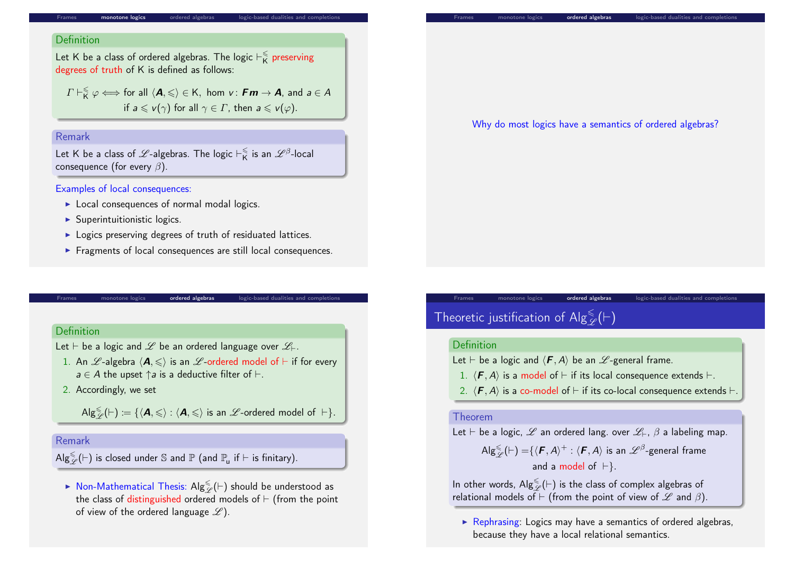monotone logics ordered algebras logic-based dualities and com

#### **Definition**

Let K be a class of ordered algebras. The logic  $\vdash^\leqslant_{\mathsf{K}}$  $\frac{\epsilon}{\mathsf{K}}$  preserving degrees of truth of K is defined as follows:

 $\varGamma\vdash^\leqslant_{\mathsf{K}}\varphi\Longleftrightarrow$  for all  $\langle\mathsf{A},\leqslant\rangle\in\mathsf{K},\,$  hom  $v\colon\mathsf{F}\bm{m}\to\mathsf{A},\,$  and  $a\in\mathcal{A}$ if  $a \leq v(\gamma)$  for all  $\gamma \in \Gamma$ , then  $a \leq v(\varphi)$ .

#### Remark

Let K be a class of  $\mathscr L$ -algebras. The logic  $\vdash_{\mathsf K}^{\leqslant}$  $\frac{\epsilon}{\mathsf{K}}$  is an  $\mathscr{L}^{\beta}$ -local consequence (for every  $\beta$ ).

#### Examples of local consequences:

- $\blacktriangleright$  Local consequences of normal modal logics.
- $\blacktriangleright$  Superintuitionistic logics.
- $\triangleright$  Logics preserving degrees of truth of residuated lattices.
- $\blacktriangleright$  Fragments of local consequences are still local consequences.

monotone logics **and ordered algebras** logic-based dualities and completions

#### <span id="page-3-0"></span>**Definition**

Let  $\vdash$  be a logic and  $\mathscr L$  be an ordered language over  $\mathscr L_{\vdash}$ .

- 1. An  $\mathscr{L}$ -algebra  $\langle \mathbf{A}, \leqslant \rangle$  is an  $\mathscr{L}$ -ordered model of  $\vdash$  if for every  $a \in A$  the upset  $\uparrow a$  is a deductive filter of  $\vdash$ .
- 2. Accordingly, we set

 $\mathsf{Alg}^\le_\mathscr{L}(\vdash) \coloneqq \{ \langle \mathbf{A}, \leqslant \rangle : \langle \mathbf{A}, \leqslant \rangle \text{ is an }\mathscr{L}\text{-ordered model of }\vdash \}.$ 

#### Remark

 $\mathsf{Alg}^\le_\mathscr{L}(\vdash)$  is closed under  $\mathbb S$  and  $\mathbb P$  (and  $\mathbb P_u$  if  $\vdash$  is finitary).

 $\blacktriangleright$  Non-Mathematical Thesis: Alg $\frac{\leqslant}{\mathscr{L}}(\vdash)$  should be understood as the class of distinguished ordered models of  $\vdash$  (from the point of view of the ordered language  $\mathscr{L}$ ).

| Why do most logics have a semantics of ordered algebras? |
|----------------------------------------------------------|
|                                                          |

# Theoretic justification of  $\mathsf{Alg}^{\leqslant}_\mathscr{L}(\vdash)$

#### Definition

Let  $\vdash$  be a logic and  $\langle \boldsymbol{F}, A \rangle$  be an  $\mathscr{L}$ -general frame.

- 1.  $\langle F, A \rangle$  is a model of  $\vdash$  if its local consequence extends  $\vdash$ .
- 2.  $\langle$  **F**, A) is a co-model of  $\vdash$  if its co-local consequence extends  $\vdash$ .

monotone logics **ordered algebras** logic-based dualities and completions

#### Theorem

Let  $\vdash$  be a logic,  $\mathscr L$  an ordered lang. over  $\mathscr L_\vdash$ ,  $\beta$  a labeling map.

 $\mathsf{Alg}^\le_\mathscr{L}(\vdash)=\{\langle\bm{\mathit{F}},\bm{\mathit{A}}\rangle^+:\langle\bm{\mathit{F}},\bm{\mathit{A}}\rangle \;\text{is an}\;\mathscr{L}^\beta\text{-general frame}$ and a model of  $\vdash$ .

In other words,  $\mathsf{Alg}^\le_\mathscr{L}(\vdash)$  is the class of complex algebras of relational models of  $\vdash$  (from the point of view of  $\mathscr L$  and  $\beta$ ).

 $\triangleright$  Rephrasing: Logics may have a semantics of ordered algebras, because they have a local relational semantics.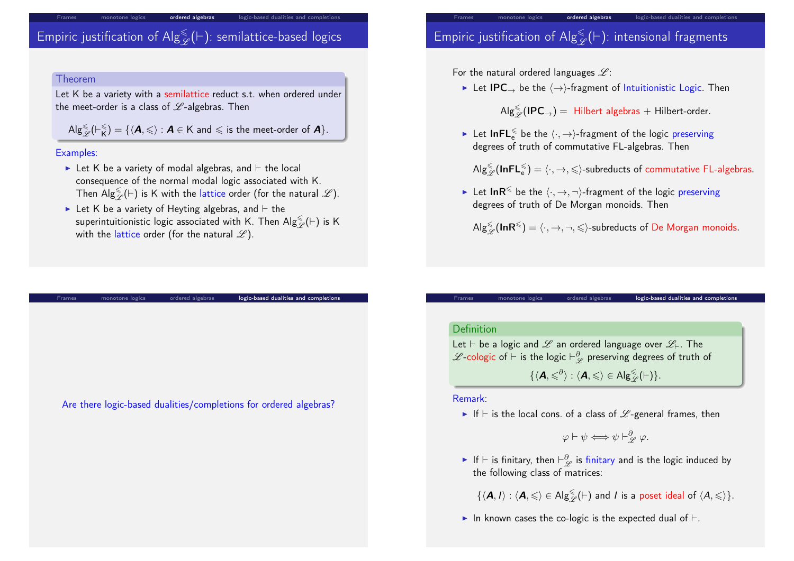# Empiric justification of  $\mathsf{Alg}^\leqslant_\mathscr{L}(\vdash)$ : semilattice-based logics

monotone logics **ordered algebras** logic-based dualities and completions

#### Theorem

Let K be a variety with a semilattice reduct s.t. when ordered under the meet-order is a class of  $L$ -algebras. Then

 $\mathsf{Alg}_{\mathscr{L}}^{\leqslant}(\vdash_{\mathsf{K}}^{\leqslant}$  $\mathcal{E}_{\mathsf{K}}^{\leqslant}) = \{ \langle \mathbf{A}, \leqslant \rangle : \mathbf{A} \in \mathsf{K} \text{ and } \leqslant \text{ is the meet-order of } \mathbf{A} \}.$ 

#### Examples:

- $\blacktriangleright$  Let K be a variety of modal algebras, and  $\vdash$  the local consequence of the normal modal logic associated with K. Then  $\overline{Alg}_{\mathscr{L}}^{\leqslant}(\vdash)$  is K with the lattice order (for the natural  $\mathscr{L}).$
- In Let K be a variety of Heyting algebras, and  $\vdash$  the superintuitionistic logic associated with K. Then  $\mathsf{Alg}^\le_\mathscr{L}(\vdash)$  is K with the lattice order (for the natural  $\mathscr{L}$ ).

monotone logics ordered algebras **logic-based dualities and completions** 

# Empiric justification of  $\mathsf{Alg}^\leqslant_\mathscr{L}(\vdash)$ : intensional fragments

For the natural ordered languages  $\mathscr{L}$ :

► Let IPC  $\rightarrow$  be the  $\langle \rightarrow \rangle$ -fragment of Intuitionistic Logic. Then

 $\mathsf{Alg}^{\leq}_{\mathscr{L}}(\mathsf{IPC}_\rightarrow) = \mathsf{Hilbert}$  algebras  $+$  Hilbert-order.

ordered algebras logic-based dualities and completion

► Let  ${\sf InFL}_{e}^{\leqslant}$  be the  $\langle \cdot, \to \rangle$ -fragment of the logic preserving degrees of truth of commutative FL-algebras. Then

 $\mathsf{Alg}^\le_\mathscr{L}(\mathsf{InFL}_e^\le)=\langle\cdot, \to, \leqslant\rangle$ -subreducts of commutative FL-algebras.

► Let InR<sup> $\leq$ </sup> be the  $\langle \cdot, \to, \neg \rangle$ -fragment of the logic preserving degrees of truth of De Morgan monoids. Then

 $\mathsf{Alg}^{\leq}_{\mathscr{L}}(\mathsf{InR}^{\leqslant}) = \langle \cdot, \to, \neg, \leqslant \rangle$ -subreducts of De Morgan monoids.

#### Definition

Let  $\vdash$  be a logic and  $\mathscr L$  an ordered language over  $\mathscr L_\vdash$ . The  $\mathscr L$ -cologic of  $\vdash$  is the logic  $\vdash^\partial_\mathscr L$  preserving degrees of truth of

 $\{ \langle A, \leqslant \theta \rangle : \langle A, \leqslant \rangle \in \mathsf{Alg}_{\mathscr{L}}^{\leqslant}(\vdash) \}.$ 

Frames monotone logics ordered algebras **logic-based dualities and completion**s

#### Remark:

If  $\vdash$  is the local cons. of a class of  $\mathscr L$ -general frames, then

 $\varphi \vdash \psi \Longleftrightarrow \psi \vdash_{\mathscr{L}}^{\partial} \varphi.$ 

► If  $\vdash$  is finitary, then  $\vdash_{\mathscr{L}}^{\partial}$  is finitary and is the logic induced by the following class of matrices:

 $\{ \langle A, I \rangle : \langle A, \leqslant \rangle \in \mathsf{Alg}_{\mathscr{L}}^{\leqslant}(\vdash)$  and  $I$  is a poset ideal of  $\langle A, \leqslant \rangle \}.$ 

In known cases the co-logic is the expected dual of  $\vdash$ .

<span id="page-4-0"></span>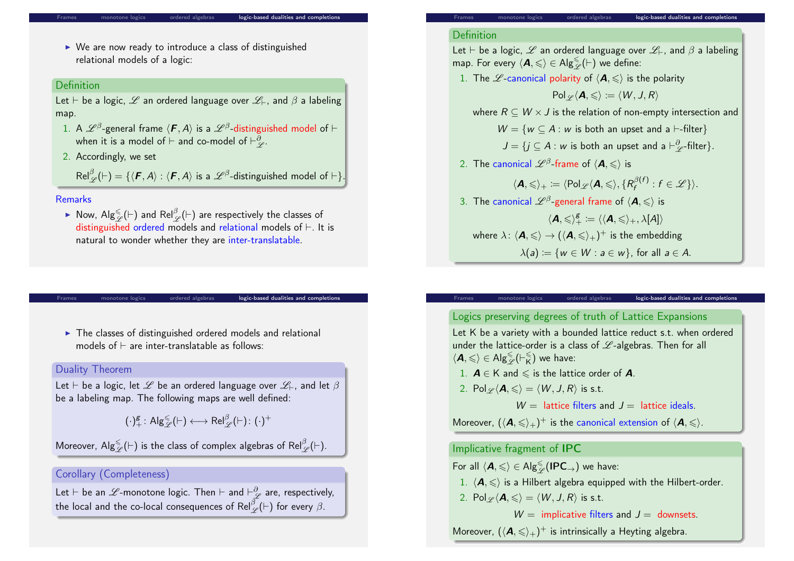#### logic-based dualities and completion

 $\triangleright$  We are now ready to introduce a class of distinguished relational models of a logic:

#### Definition

Let  $\vdash$  be a logic,  $\mathscr L$  an ordered language over  $\mathscr L_\vdash$ , and  $\beta$  a labeling map.

- 1. A  $\mathscr L^\beta$ -general frame  $\langle \bm F, A \rangle$  is a  $\mathscr L^\beta$ -distinguished model of  $\vdash$ when it is a model of  $\vdash$  and co-model of  $\vdash^\partial_\mathscr{L}$ .
- 2. Accordingly, we set

 $\mathsf{Rel}^\beta_\mathscr{L}(\vdash)=\{\langle\bm{\mathit{F}},\bm{\mathit{A}}\rangle:\langle\bm{\mathit{F}},\bm{\mathit{A}}\rangle\text{ is a }\mathscr{L}^\beta\text{-distinguished model of }\vdash\}.$ 

#### Remarks

▶ Now,  $\mathsf{Alg}^\le_\mathscr{L}(\vdash)$  and  $\mathsf{Rel}^\beta_\mathscr{L}(\vdash)$  are respectively the classes of distinguished ordered models and relational models of  $\vdash$ . It is natural to wonder whether they are inter-translatable.

monotone logics ordered algebras logic-based dualities and completion

 $\blacktriangleright$  The classes of distinguished ordered models and relational models of  $\vdash$  are inter-translatable as follows:

#### Duality Theorem

Let  $\vdash$  be a logic, let  $\mathscr L$  be an ordered language over  $\mathscr L_\vdash$ , and let  $\beta$ be a labeling map. The following maps are well defined:

$$
(\cdot)^\text{g}_+ \colon \mathsf{Alg}_\mathscr{L}^\leq(\vdash) \longleftrightarrow \mathsf{Rel}_\mathscr{L}^\beta(\vdash) \colon (\cdot)^+
$$

Moreover, Alg ${}^{\leqslant}_{\mathscr{L}}(\vdash)$  is the class of complex algebras of Rel ${}^{\beta}_{\mathscr{L}}(\vdash).$ 

#### Corollary (Completeness)

Let  $\vdash$  be an  $\mathscr L$ -monotone logic. Then  $\vdash$  and  $\vdash^\partial_\mathscr L$  are, respectively, the local and the co-local consequences of  $\mathsf{Rel}^{\beta}_{\mathscr{L}}(\vdash)$  for every  $\beta.$ 

#### Definition

Let  $\vdash$  be a logic,  $\mathscr L$  an ordered language over  $\mathscr L_\vdash$ , and  $\beta$  a labeling map. For every  $\langle \mathbf{A}, \leqslant \rangle \in \mathsf{Alg}^{\leq}_{\mathscr{L}}(\vdash)$  we define:

1. The  $\mathscr L$ -canonical polarity of  $\langle \mathbf A,{\leqslant}\rangle$  is the polarity

 $Pol \varphi(A, \leqslant) := \langle W, J, R \rangle$ 

where  $R \subseteq W \times J$  is the relation of non-empty intersection and

 $W = \{w \subseteq A : w$  is both an upset and a  $\vdash$ -filter}

 $J = \{ j \subseteq A : w \text{ is both an upset and a } \vdash^{\partial}_{\mathscr{L}} \text{-filter} \}.$ 

2. The canonical  $\mathscr L^\beta\text{-frame}$  of  $\langle \bm A, \leqslant \rangle$  is

$$
\langle \mathbf{A}, \leqslant \rangle_+ := \langle \mathrm{Pol}_{\mathscr{L}} \langle \mathbf{A}, \leqslant \rangle, \{ R_f^{\beta(f)} : f \in \mathscr{L} \} \rangle.
$$

3. The canonical  $\mathscr L^\beta$ -general frame of  $\langle \bm A, \leqslant \rangle$  is  $\langle \mathbf{A}, \leqslant \rangle_+^{\mathcal{g}} \coloneqq \langle \langle \mathbf{A}, \leqslant \rangle_+, \lambda[A] \rangle$ where  $\lambda \colon \langle \bm A, \leqslant \rangle \to (\langle \bm A, \leqslant \rangle_+)^+$  is the embedding  $\lambda(a) := \{w \in W : a \in w\}$ , for all  $a \in A$ .

# Logics preserving degrees of truth of Lattice Expansions

ordered algebras **logic-based dualities and completions** 

Let K be a variety with a bounded lattice reduct s.t. when ordered under the lattice-order is a class of  $\mathscr{L}$ -algebras. Then for all  $\langle \mathbf{A}, \leqslant \rangle \in \mathsf{Alg}_{\mathscr{L}}^{\leqslant}(\vdash_{\mathsf{K}}^{\leqslant}$  $\binom{8}{K}$  we have:

- 1.  $A \in K$  and  $\leq$  is the lattice order of A.
- 2. Pol $\varphi$  $\langle A, \leqslant \rangle = \langle W, J, R \rangle$  is s.t.

 $W =$  lattice filters and  $I =$  lattice ideals.

Moreover,  $(\langle \mathcal{A},\leqslant\rangle_+)^+$  is the canonical extension of  $\langle \mathcal{A},\leqslant\rangle.$ 

#### Implicative fragment of IPC

For all  $\langle \mathcal{A}, \leqslant \rangle \in \mathsf{Alg}^{\leqslant}_{\mathscr{L}}(\mathsf{IPC}_\rightarrow)$  we have:

1.  $\langle A, \leqslant \rangle$  is a Hilbert algebra equipped with the Hilbert-order.

2. Pol $\varphi(\mathbf{A}, \leqslant) = \langle W, J, R \rangle$  is s.t.

 $W =$  implicative filters and  $J =$  downsets.

Moreover,  $(\langle A,\leqslant\rangle_+)^+$  is intrinsically a Heyting algebra.

ordered algebras **inducler** logic-based dualities and completion